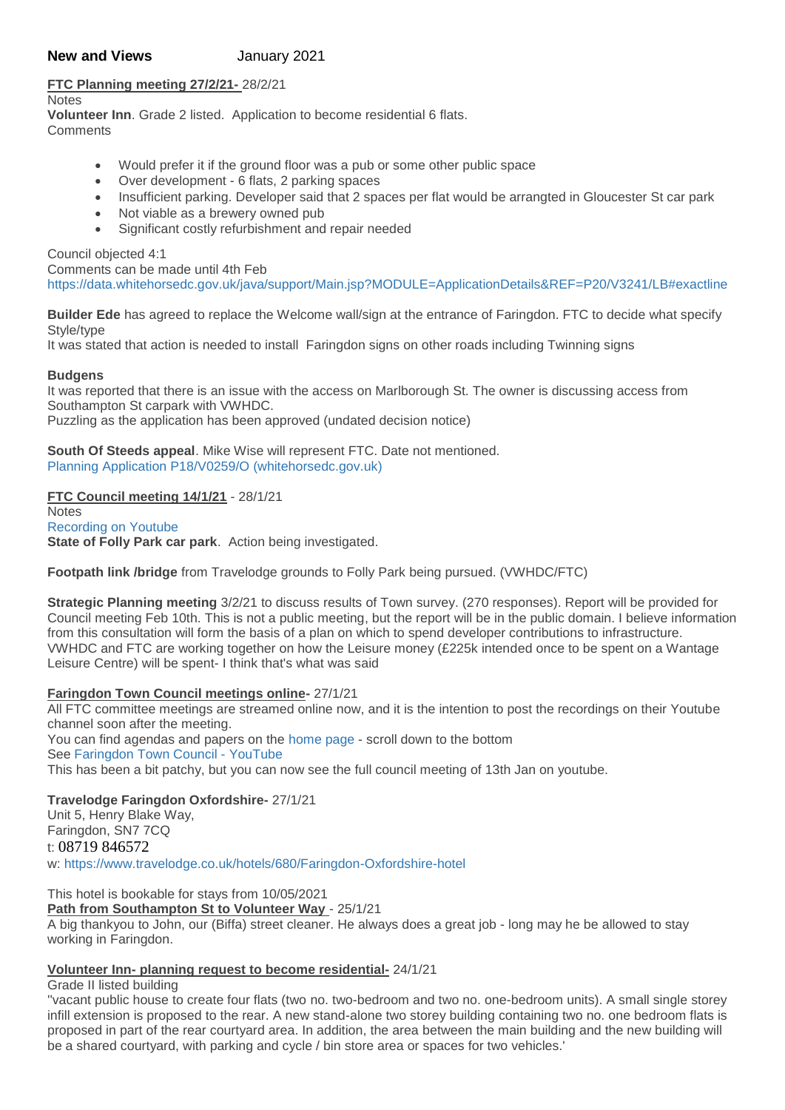# **New and Views** January 2021

# **FTC Planning meeting 27/2/21-** 28/2/21

Notes

**Volunteer Inn**. Grade 2 listed. Application to become residential 6 flats. **Comments** 

- Would prefer it if the ground floor was a pub or some other public space
- Over development 6 flats, 2 parking spaces
- Insufficient parking. Developer said that 2 spaces per flat would be arrangted in Gloucester St car park
- Not viable as a brewery owned pub
- Significant costly refurbishment and repair needed

Council objected 4:1

Comments can be made until 4th Feb

[https://data.whitehorsedc.gov.uk/java/support/Main.jsp?MODULE=ApplicationDetails&REF=P20/V3241/LB#exactline](https://data.whitehorsedc.gov.uk/java/support/Main.jsp?MODULE=ApplicationDetails&REF=P20/V3241/LB%23exactline)

**Builder Ede** has agreed to replace the Welcome wall/sign at the entrance of Faringdon. FTC to decide what specify Style/type

It was stated that action is needed to install Faringdon signs on other roads including Twinning signs

#### **Budgens**

It was reported that there is an issue with the access on Marlborough St. The owner is discussing access from Southampton St carpark with VWHDC. Puzzling as the application has been approved (undated decision notice)

**South Of Steeds appeal**. Mike Wise will represent FTC. Date not mentioned. [Planning Application P18/V0259/O \(whitehorsedc.gov.uk\)](https://data.whitehorsedc.gov.uk/java/support/Main.jsp?MODULE=ApplicationDetails&REF=P18/V0259/O)

# **FTC Council meeting 14/1/21** - 28/1/21

**Notes** [Recording on Youtube](https://www.youtube.com/channel/UCQLRIqAOQ7KnWd3_LEoH2EA) **State of Folly Park car park**. Action being investigated.

**Footpath link /bridge** from Travelodge grounds to Folly Park being pursued. (VWHDC/FTC)

**Strategic Planning meeting** 3/2/21 to discuss results of Town survey. (270 responses). Report will be provided for Council meeting Feb 10th. This is not a public meeting, but the report will be in the public domain. I believe information from this consultation will form the basis of a plan on which to spend developer contributions to infrastructure. VWHDC and FTC are working together on how the Leisure money (£225k intended once to be spent on a Wantage Leisure Centre) will be spent- I think that's what was said

# **Faringdon Town Council meetings online-** 27/1/21

All FTC committee meetings are streamed online now, and it is the intention to post the recordings on their Youtube channel soon after the meeting.

You can find agendas and papers on the [home page](https://www.faringdontowncouncil.gov.uk/?section=23) - scroll down to the bottom

See [Faringdon Town Council -](https://www.youtube.com/channel/UCQLRIqAOQ7KnWd3_LEoH2EA) YouTube

This has been a bit patchy, but you can now see the full council meeting of 13th Jan on youtube.

# **Travelodge Faringdon Oxfordshire-** 27/1/21

Unit 5, Henry Blake Way, Faringdon, SN7 7CQ t: 08719 846572 w: <https://www.travelodge.co.uk/hotels/680/Faringdon-Oxfordshire-hotel>

This hotel is bookable for stays from 10/05/2021

#### **Path from Southampton St to Volunteer Way** - 25/1/21

A big thankyou to John, our (Biffa) street cleaner. He always does a great job - long may he be allowed to stay working in Faringdon.

# **Volunteer Inn- planning request to become residential-** 24/1/21

Grade II listed building

''vacant public house to create four flats (two no. two-bedroom and two no. one-bedroom units). A small single storey infill extension is proposed to the rear. A new stand-alone two storey building containing two no. one bedroom flats is proposed in part of the rear courtyard area. In addition, the area between the main building and the new building will be a shared courtyard, with parking and cycle / bin store area or spaces for two vehicles.'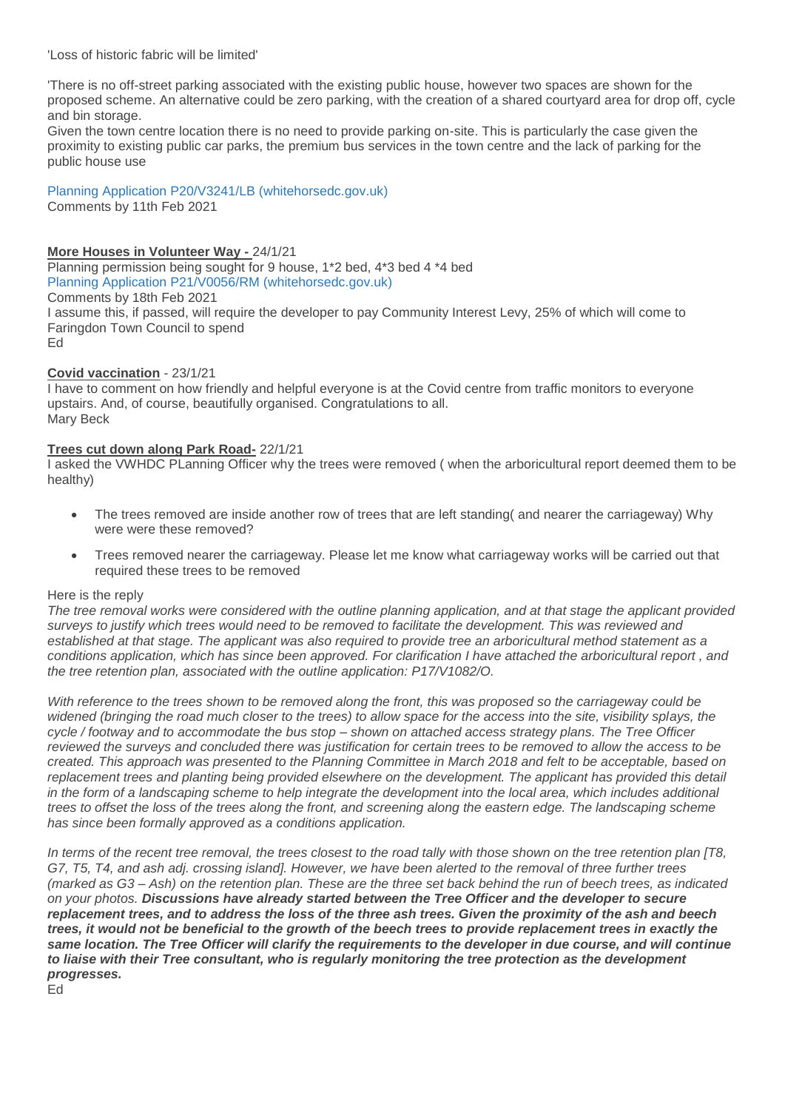'Loss of historic fabric will be limited'

'There is no off-street parking associated with the existing public house, however two spaces are shown for the proposed scheme. An alternative could be zero parking, with the creation of a shared courtyard area for drop off, cycle and bin storage.

Given the town centre location there is no need to provide parking on-site. This is particularly the case given the proximity to existing public car parks, the premium bus services in the town centre and the lack of parking for the public house use

[Planning Application P20/V3241/LB \(whitehorsedc.gov.uk\)](https://data.whitehorsedc.gov.uk/java/support/Main.jsp?MODULE=ApplicationDetails&REF=P20/V3241/LB#exactline) Comments by 11th Feb 2021

# **More Houses in Volunteer Way -** 24/1/21

Planning permission being sought for 9 house, 1\*2 bed, 4\*3 bed 4 \*4 bed [Planning Application P21/V0056/RM \(whitehorsedc.gov.uk\)](https://data.whitehorsedc.gov.uk/java/support/Main.jsp?MODULE=ApplicationDetails&REF=P21/V0056/RM#exactline) Comments by 18th Feb 2021 I assume this, if passed, will require the developer to pay Community Interest Levy, 25% of which will come to Faringdon Town Council to spend Ed

# **Covid vaccination** - 23/1/21

I have to comment on how friendly and helpful everyone is at the Covid centre from traffic monitors to everyone upstairs. And, of course, beautifully organised. Congratulations to all. Mary Beck

### **Trees cut down along Park Road-** 22/1/21

I asked the VWHDC PLanning Officer why the trees were removed ( when the arboricultural report deemed them to be healthy)

- The trees removed are inside another row of trees that are left standing( and nearer the carriageway) Why were were these removed?
- Trees removed nearer the carriageway. Please let me know what carriageway works will be carried out that required these trees to be removed

#### Here is the reply

*The tree removal works were considered with the outline planning application, and at that stage the applicant provided surveys to justify which trees would need to be removed to facilitate the development. This was reviewed and established at that stage. The applicant was also required to provide tree an arboricultural method statement as a conditions application, which has since been approved. For clarification I have attached the arboricultural report , and the tree retention plan, associated with the outline application: P17/V1082/O.*

*With reference to the trees shown to be removed along the front, this was proposed so the carriageway could be widened (bringing the road much closer to the trees) to allow space for the access into the site, visibility splays, the cycle / footway and to accommodate the bus stop – shown on attached access strategy plans. The Tree Officer reviewed the surveys and concluded there was justification for certain trees to be removed to allow the access to be created. This approach was presented to the Planning Committee in March 2018 and felt to be acceptable, based on*  replacement trees and planting being provided elsewhere on the development. The applicant has provided this detail *in the form of a landscaping scheme to help integrate the development into the local area, which includes additional trees to offset the loss of the trees along the front, and screening along the eastern edge. The landscaping scheme has since been formally approved as a conditions application.*

*In terms of the recent tree removal, the trees closest to the road tally with those shown on the tree retention plan [T8, G7, T5, T4, and ash adj. crossing island]. However, we have been alerted to the removal of three further trees (marked as G3 – Ash) on the retention plan. These are the three set back behind the run of beech trees, as indicated on your photos. Discussions have already started between the Tree Officer and the developer to secure replacement trees, and to address the loss of the three ash trees. Given the proximity of the ash and beech trees, it would not be beneficial to the growth of the beech trees to provide replacement trees in exactly the same location. The Tree Officer will clarify the requirements to the developer in due course, and will continue to liaise with their Tree consultant, who is regularly monitoring the tree protection as the development progresses.*

Ed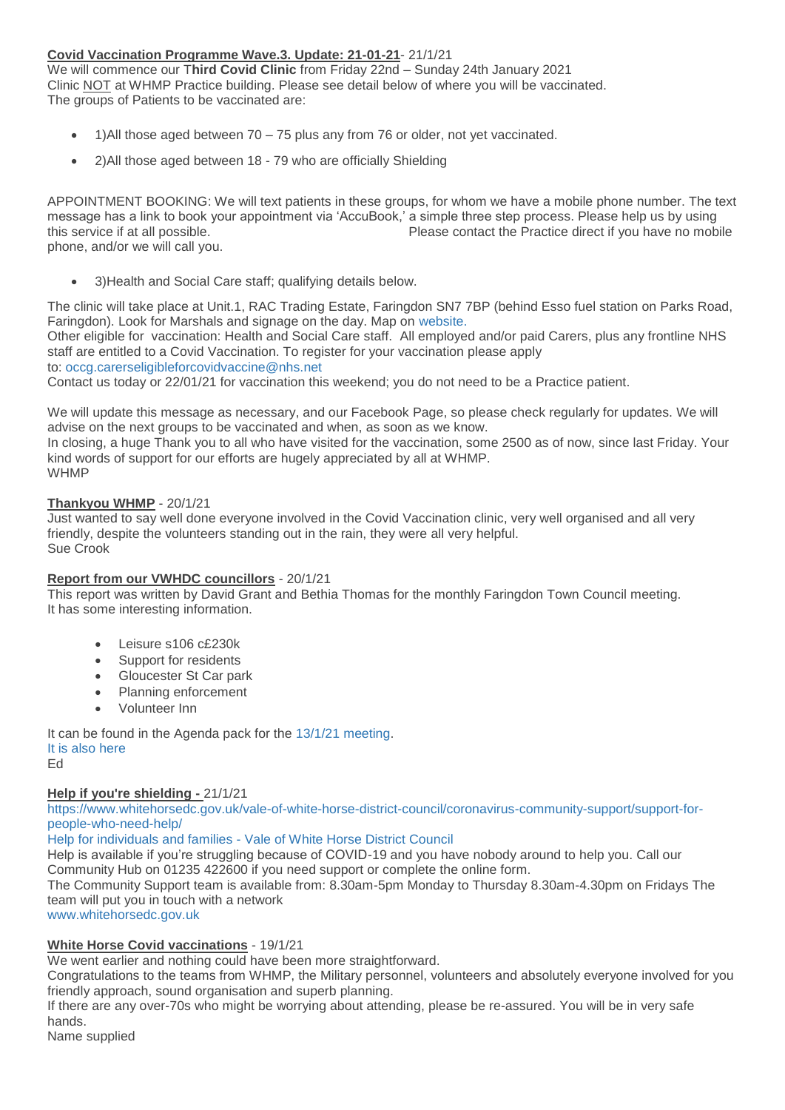# **Covid Vaccination Programme Wave.3. Update: 21-01-21**- 21/1/21

We will commence our T**hird Covid Clinic** from Friday 22nd – Sunday 24th January 2021 Clinic NOT at WHMP Practice building. Please see detail below of where you will be vaccinated. The groups of Patients to be vaccinated are:

- 1)All those aged between 70 75 plus any from 76 or older, not yet vaccinated.
- 2)All those aged between 18 79 who are officially Shielding

APPOINTMENT BOOKING: We will text patients in these groups, for whom we have a mobile phone number. The text message has a link to book your appointment via 'AccuBook,' a simple three step process. Please help us by using this service if at all possible. Please contact the Practice direct if you have no mobile phone, and/or we will call you.

3)Health and Social Care staff; qualifying details below.

The clinic will take place at Unit.1, RAC Trading Estate, Faringdon SN7 7BP (behind Esso fuel station on Parks Road, Faringdon). Look for Marshals and signage on the day. Map on [website.](https://www.whmp.co.uk/)

Other eligible for vaccination: Health and Social Care staff. All employed and/or paid Carers, plus any frontline NHS staff are entitled to a Covid Vaccination. To register for your vaccination please apply

to: [occg.carerseligibleforcovidvaccine@nhs.net](file:///C:/Users/Gene%20PC/AppData/Local/Temp/occg.carerseligibleforcovidvaccine@nhs.net) 

Contact us today or 22/01/21 for vaccination this weekend; you do not need to be a Practice patient.

We will update this message as necessary, and our Facebook Page, so please check regularly for updates. We will advise on the next groups to be vaccinated and when, as soon as we know. In closing, a huge Thank you to all who have visited for the vaccination, some 2500 as of now, since last Friday. Your

kind words of support for our efforts are hugely appreciated by all at WHMP. WHMP

# **Thankyou WHMP** - 20/1/21

Just wanted to say well done everyone involved in the Covid Vaccination clinic, very well organised and all very friendly, despite the volunteers standing out in the rain, they were all very helpful. Sue Crook

# **Report from our VWHDC councillors** - 20/1/21

This report was written by David Grant and Bethia Thomas for the monthly Faringdon Town Council meeting. It has some interesting information.

- Leisure s106 c£230k
- Support for residents
- Gloucester St Car park
- Planning enforcement
- Volunteer Inn

It can be found in the Agenda pack for the [13/1/21 meeting.](https://www.faringdontowncouncil.gov.uk/category/meetings/) [It is also here](http://weebly-file/1/4/7/6/14765418/vwhdc_ftc_report_2021_jan.pdf) Ed

# **Help if you're shielding -** 21/1/21

[https://www.whitehorsedc.gov.uk/vale-of-white-horse-district-council/coronavirus-community-support/support-for](https://www.whitehorsedc.gov.uk/vale-of-white-horse-district-council/coronavirus-community-support/support-for-people-who-need-help/)[people-who-need-help/](https://www.whitehorsedc.gov.uk/vale-of-white-horse-district-council/coronavirus-community-support/support-for-people-who-need-help/)

Help for individuals and families - [Vale of White Horse District Council](https://www.whitehorsedc.gov.uk/vale-of-white-horse-district-council/coronavirus-community-support/support-for-people-who-need-help/)

Help is available if you're struggling because of COVID-19 and you have nobody around to help you. Call our Community Hub on 01235 422600 if you need support or complete the online form.

The Community Support team is available from: 8.30am-5pm Monday to Thursday 8.30am-4.30pm on Fridays The team will put you in touch with a network

[www.whitehorsedc.gov.uk](http://www.whitehorsedc.gov.uk/)

# **White Horse Covid vaccinations** - 19/1/21

We went earlier and nothing could have been more straightforward.

Congratulations to the teams from WHMP, the Military personnel, volunteers and absolutely everyone involved for you friendly approach, sound organisation and superb planning.

If there are any over-70s who might be worrying about attending, please be re-assured. You will be in very safe hands.

Name supplied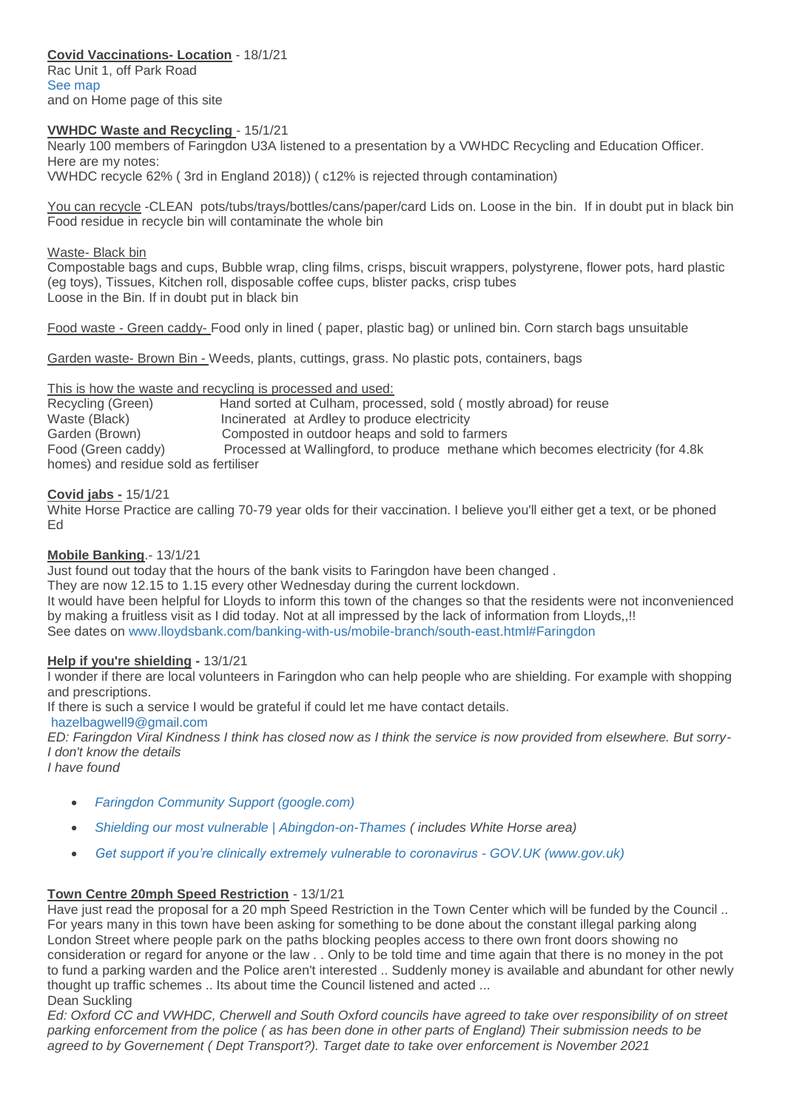# **Covid Vaccinations- Location** - 18/1/21

Rac Unit 1, off Park Road [See map](http://weebly-file/1/4/7/6/14765418/covid_rac_directions.jpg) and on Home page of this site

### **VWHDC Waste and Recycling** - 15/1/21

Nearly 100 members of Faringdon U3A listened to a presentation by a VWHDC Recycling and Education Officer. Here are my notes:

VWHDC recycle 62% ( 3rd in England 2018)) ( c12% is rejected through contamination)

You can recycle -CLEAN pots/tubs/trays/bottles/cans/paper/card Lids on. Loose in the bin. If in doubt put in black bin Food residue in recycle bin will contaminate the whole bin

#### Waste- Black bin

Compostable bags and cups, Bubble wrap, cling films, crisps, biscuit wrappers, polystyrene, flower pots, hard plastic (eg toys), Tissues, Kitchen roll, disposable coffee cups, blister packs, crisp tubes Loose in the Bin. If in doubt put in black bin

Food waste - Green caddy- Food only in lined ( paper, plastic bag) or unlined bin. Corn starch bags unsuitable

Garden waste- Brown Bin - Weeds, plants, cuttings, grass. No plastic pots, containers, bags

This is how the waste and recycling is processed and used:

Recycling (Green) Hand sorted at Culham, processed, sold (mostly abroad) for reuse Waste (Black) **Incinerated at Ardley to produce electricity** Garden (Brown) Composted in outdoor heaps and sold to farmers Food (Green caddy) Processed at Wallingford, to produce methane which becomes electricity (for 4.8k homes) and residue sold as fertiliser

# **Covid jabs -** 15/1/21

White Horse Practice are calling 70-79 year olds for their vaccination. I believe you'll either get a text, or be phoned Ed

## **Mobile Banking**.- 13/1/21

Just found out today that the hours of the bank visits to Faringdon have been changed .

They are now 12.15 to 1.15 every other Wednesday during the current lockdown.

It would have been helpful for Lloyds to inform this town of the changes so that the residents were not inconvenienced by making a fruitless visit as I did today. Not at all impressed by the lack of information from Lloyds,,!! See dates on [www.lloydsbank.com/banking-with-us/mobile-branch/south-east.html#Faringdon](https://www.lloydsbank.com/banking-with-us/mobile-branch/south-east.html#Faringdon)

# **Help if you're shielding -** 13/1/21

I wonder if there are local volunteers in Faringdon who can help people who are shielding. For example with shopping and prescriptions.

If there is such a service I would be grateful if could let me have contact details.

[hazelbagwell9@gmail.com](mailto:hazelbagwell9@gmail.com)

*ED: Faringdon Viral Kindness I think has closed now as I think the service is now provided from elsewhere. But sorry-I don't know the details*

*I have found*

- *[Faringdon Community Support \(google.com\)](https://sites.google.com/view/faringdonviralkindness/home)*
- *[Shielding our most vulnerable | Abingdon-on-Thames](https://www.abingdon.gov.uk/abingdon-news/abingdon-thames-town-council/shielding-our-most-vulnerable) ( includes White Horse area)*
- *[Get support if you're clinically extremely vulnerable to coronavirus -](https://www.gov.uk/coronavirus-shielding-support) GOV.UK (www.gov.uk)*

# **Town Centre 20mph Speed Restriction** - 13/1/21

Have just read the proposal for a 20 mph Speed Restriction in the Town Center which will be funded by the Council .. For years many in this town have been asking for something to be done about the constant illegal parking along London Street where people park on the paths blocking peoples access to there own front doors showing no consideration or regard for anyone or the law . . Only to be told time and time again that there is no money in the pot to fund a parking warden and the Police aren't interested .. Suddenly money is available and abundant for other newly thought up traffic schemes .. Its about time the Council listened and acted ... Dean Suckling

*Ed: Oxford CC and VWHDC, Cherwell and South Oxford councils have agreed to take over responsibility of on street parking enforcement from the police ( as has been done in other parts of England) Their submission needs to be agreed to by Governement ( Dept Transport?). Target date to take over enforcement is November 2021*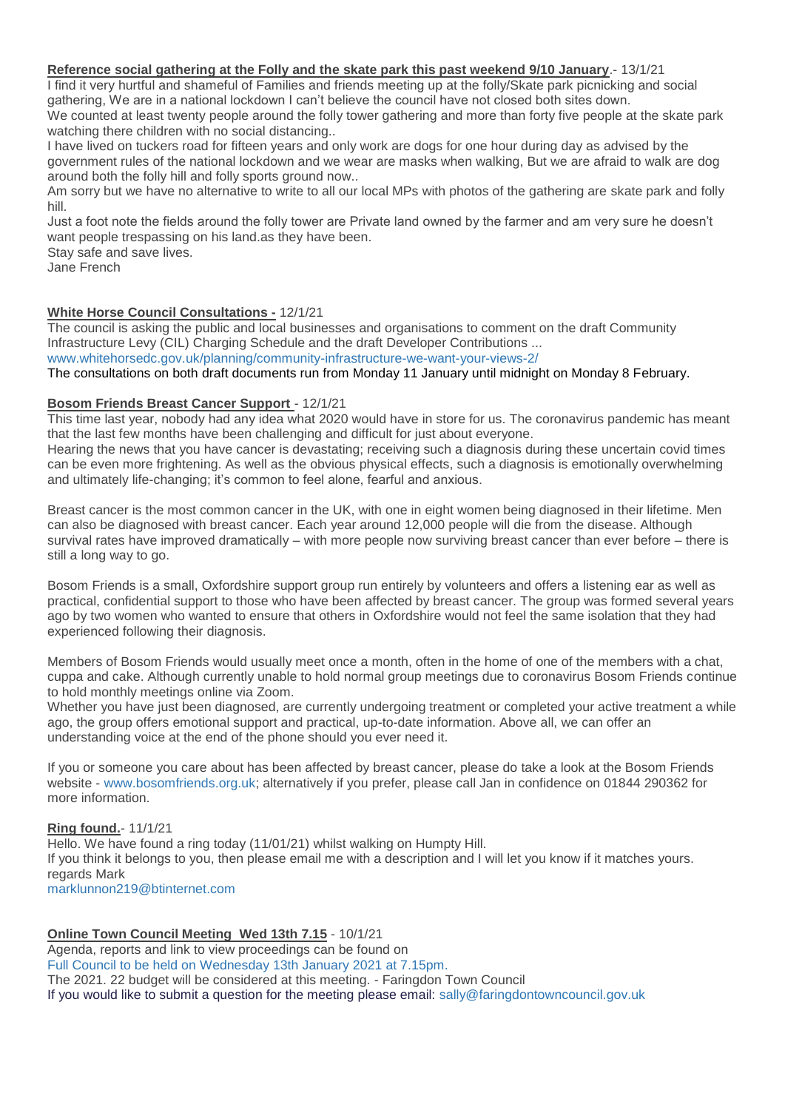#### **Reference social gathering at the Folly and the skate park this past weekend 9/10 January**.- 13/1/21

I find it very hurtful and shameful of Families and friends meeting up at the folly/Skate park picnicking and social gathering, We are in a national lockdown I can't believe the council have not closed both sites down.

We counted at least twenty people around the folly tower gathering and more than forty five people at the skate park watching there children with no social distancing..

I have lived on tuckers road for fifteen years and only work are dogs for one hour during day as advised by the government rules of the national lockdown and we wear are masks when walking, But we are afraid to walk are dog around both the folly hill and folly sports ground now..

Am sorry but we have no alternative to write to all our local MPs with photos of the gathering are skate park and folly hill.

Just a foot note the fields around the folly tower are Private land owned by the farmer and am very sure he doesn't want people trespassing on his land.as they have been.

Stay safe and save lives.

Jane French

# **White Horse Council Consultations -** 12/1/21

The council is asking the public and local businesses and organisations to comment on the draft Community Infrastructure Levy (CIL) Charging Schedule and the draft Developer Contributions ... [www.whitehorsedc.gov.uk/planning/community-infrastructure-we-want-your-views-2/](https://www.whitehorsedc.gov.uk/planning/community-infrastructure-we-want-your-views-2/)

The consultations on both draft documents run from Monday 11 January until midnight on Monday 8 February.

# **Bosom Friends Breast Cancer Support** - 12/1/21

This time last year, nobody had any idea what 2020 would have in store for us. The coronavirus pandemic has meant that the last few months have been challenging and difficult for just about everyone.

Hearing the news that you have cancer is devastating; receiving such a diagnosis during these uncertain covid times can be even more frightening. As well as the obvious physical effects, such a diagnosis is emotionally overwhelming and ultimately life-changing; it's common to feel alone, fearful and anxious.

Breast cancer is the most common cancer in the UK, with one in eight women being diagnosed in their lifetime. Men can also be diagnosed with breast cancer. Each year around 12,000 people will die from the disease. Although survival rates have improved dramatically – with more people now surviving breast cancer than ever before – there is still a long way to go.

Bosom Friends is a small, Oxfordshire support group run entirely by volunteers and offers a listening ear as well as practical, confidential support to those who have been affected by breast cancer. The group was formed several years ago by two women who wanted to ensure that others in Oxfordshire would not feel the same isolation that they had experienced following their diagnosis.

Members of Bosom Friends would usually meet once a month, often in the home of one of the members with a chat, cuppa and cake. Although currently unable to hold normal group meetings due to coronavirus Bosom Friends continue to hold monthly meetings online via Zoom.

Whether you have just been diagnosed, are currently undergoing treatment or completed your active treatment a while ago, the group offers emotional support and practical, up-to-date information. Above all, we can offer an understanding voice at the end of the phone should you ever need it.

If you or someone you care about has been affected by breast cancer, please do take a look at the Bosom Friends website - [www.bosomfriends.org.uk;](http://www.bosomfriends.org.uk/) alternatively if you prefer, please call Jan in confidence on 01844 290362 for more information.

# **Ring found.**- 11/1/21

Hello. We have found a ring today (11/01/21) whilst walking on Humpty Hill. If you think it belongs to you, then please email me with a description and I will let you know if it matches yours. regards Mark [marklunnon219@btinternet.com](mailto:marklunnon219@btinternet.com)

# **Online Town Council Meeting Wed 13th 7.15** - 10/1/21

Agenda, reports and link to view proceedings can be found on [Full Council to be held on Wednesday 13th January 2021 at 7.15pm.](https://www.faringdontowncouncil.gov.uk/full-council-to-be-held-on-wednesday-13th-january-2021-at-7-15pm-the-2021-22-budget-will-be-considered-at-this-meeting/) [T](https://www.faringdontowncouncil.gov.uk/full-council-to-be-held-on-wednesday-13th-january-2021-at-7-15pm-the-2021-22-budget-will-be-considered-at-this-meeting/)he 2021. 22 budget will be considered at this meeting. - Faringdon Town Council If you would like to submit a question for the meeting please email: [sally@faringdontowncouncil.gov.uk](mailto:If%20you%20would%20like%20to%20submit%20a%20question%20for%20the%20meeting%20please%20email:%20sally@faringdontowncouncil.gov.uk)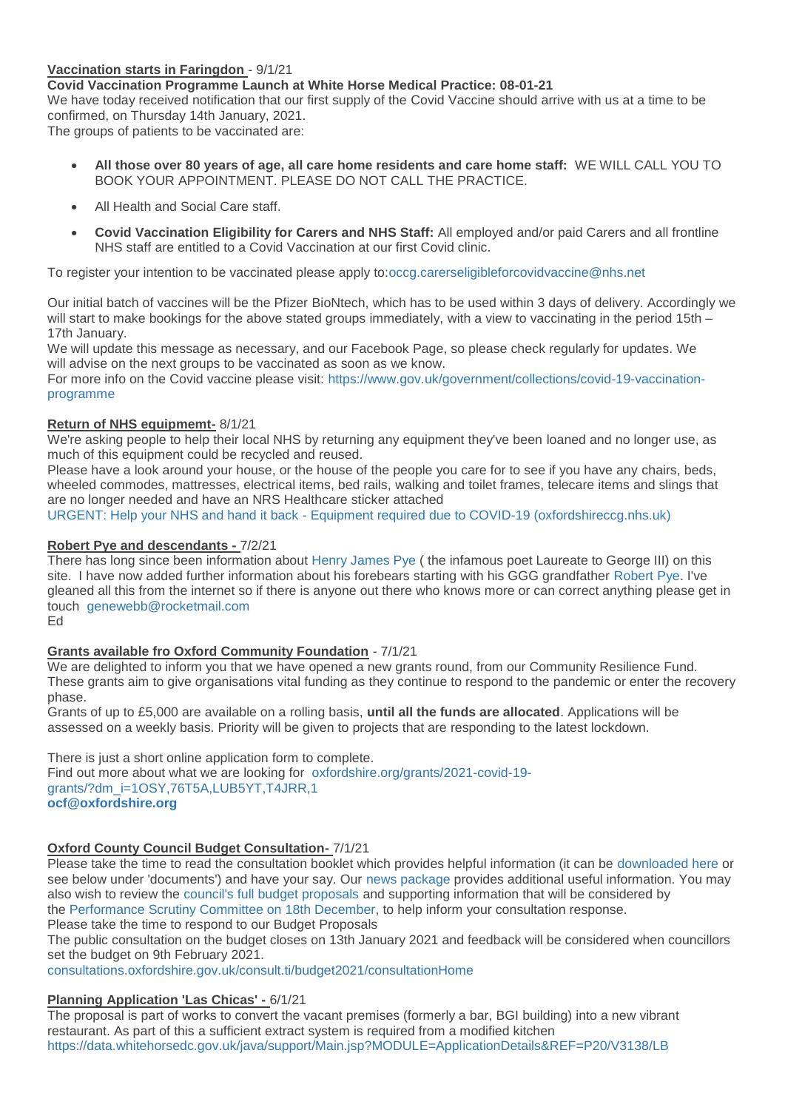# **Vaccination starts in Faringdon** - 9/1/21

**Covid Vaccination Programme Launch at White Horse Medical Practice: 08-01-21**

We have today received notification that our first supply of the Covid Vaccine should arrive with us at a time to be confirmed, on Thursday 14th January, 2021.

The groups of patients to be vaccinated are:

- **All those over 80 years of age, all care home residents and care home staff:** WE WILL CALL YOU TO BOOK YOUR APPOINTMENT. PLEASE DO NOT CALL THE PRACTICE.
- All Health and Social Care staff.
- **Covid Vaccination Eligibility for Carers and NHS Staff:** All employed and/or paid Carers and all frontline NHS staff are entitled to a Covid Vaccination at our first Covid clinic.

To register your intention to be vaccinated please apply to[:occg.carerseligibleforcovidvaccine@nhs.net](x-apple-ql-id://word/occg.carerseligibleforcovidvaccine@nhs.net) 

Our initial batch of vaccines will be the Pfizer BioNtech, which has to be used within 3 days of delivery. Accordingly we will start to make bookings for the above stated groups immediately, with a view to vaccinating in the period 15th – 17th January.

We will update this message as necessary, and our Facebook Page, so please check regularly for updates. We will advise on the next groups to be vaccinated as soon as we know.

For more info on the Covid vaccine please visit: [https://www.gov.uk/government/collections/covid-19-vaccination](https://www.gov.uk/government/collections/covid-19-vaccination-programme)[programme](https://www.gov.uk/government/collections/covid-19-vaccination-programme)

### **Return of NHS equipmemt-** 8/1/21

We're asking people to help their local NHS by returning any equipment they've been loaned and no longer use, as much of this equipment could be recycled and reused.

Please have a look around your house, or the house of the people you care for to see if you have any chairs, beds, wheeled commodes, mattresses, electrical items, bed rails, walking and toilet frames, telecare items and slings that are no longer needed and have an NRS Healthcare sticker attached

URGENT: Help your NHS and hand it back - [Equipment required due to COVID-19 \(oxfordshireccg.nhs.uk\)](https://www.oxfordshireccg.nhs.uk/news/urgent-help-your-nhs-and-hand-it-back-equipment-required-due-to-covid-19/107338)

### **Robert Pye and descendants -** 7/2/21

There has long since been information about Henry [James Pye](http://weebly-link/434258152824496991) ( the infamous poet Laureate to George III) on this site. I have now added further information about his forebears starting with his GGG grandfather [Robert Pye.](http://weebly-link/341078854282019091) I've gleaned all this from the internet so if there is anyone out there who knows more or can correct anything please get in touch [genewebb@rocketmail.com](mailto:genewebb@rocketmail.com)

Ed

# **Grants available fro Oxford Community Foundation** - 7/1/21

We are delighted to inform you that we have opened a new grants round, from our Community Resilience Fund. These grants aim to give organisations vital funding as they continue to respond to the pandemic or enter the recovery phase.

Grants of up to £5,000 are available on a rolling basis, **until all the funds are allocated**. Applications will be assessed on a weekly basis. Priority will be given to projects that are responding to the latest lockdown.

There is just a short online application form to complete.

Find out more about what we are looking for [oxfordshire.org/grants/2021-covid-19](https://oxfordshire.org/grants/2021-covid-19-grants/?dm_i=1OSY,76T5A,LUB5YT,T4JRR,1) [grants/?dm\\_i=1OSY,76T5A,LUB5YT,T4JRR,1](https://oxfordshire.org/grants/2021-covid-19-grants/?dm_i=1OSY,76T5A,LUB5YT,T4JRR,1) **[ocf@oxfordshire.org](mailto:ocf@oxfordshire.org)**

# **Oxford County Council Budget Consultation-** 7/1/21

Please take the time to read the consultation booklet which provides helpful information (it can be [downloaded here](https://consultations.oxfordshire.gov.uk/gf2.ti/-/1219394/88373445.1/PDF/-/Budget_consultation_booklet_20212022.pdf) or see below under 'documents') and have your say. Our [news package](https://news.oxfordshire.gov.uk/frontline-services-given-protection-with-new-investments-in-services-proposed-for-202122/) provides additional useful information. You may also wish to review the [council's full budget proposals](https://mycouncil.oxfordshire.gov.uk/documents/b19307/Addenda%20Friday%2018-Dec-2020%2014.00%20Performance%20Scrutiny%20Committee.pdf?T=9) and supporting information that will be considered by the [Performance Scrutiny Committee on 18th December,](https://mycouncil.oxfordshire.gov.uk/ieListDocuments.aspx?CId=895&MId=6048) to help inform your consultation response. Please take the time to respond to our Budget Proposals

The public consultation on the budget closes on 13th January 2021 and feedback will be considered when councillors set the budget on 9th February 2021.

[consultations.oxfordshire.gov.uk/consult.ti/budget2021/consultationHome](https://consultations.oxfordshire.gov.uk/consult.ti/budget2021/consultationHome)

# **Planning Application 'Las Chicas' -** 6/1/21

The proposal is part of works to convert the vacant premises (formerly a bar, BGI building) into a new vibrant restaurant. As part of this a sufficient extract system is required from a modified kitchen <https://data.whitehorsedc.gov.uk/java/support/Main.jsp?MODULE=ApplicationDetails&REF=P20/V3138/LB>